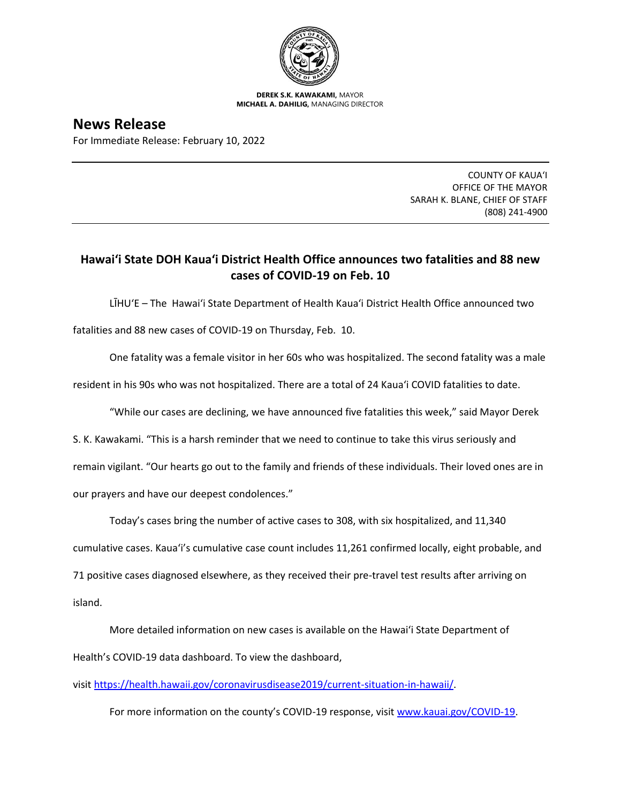

**DEREK S.K. KAWAKAMI,** MAYOR **MICHAEL A. DAHILIG,** MANAGING DIRECTOR

**News Release** For Immediate Release: February 10, 2022

> COUNTY OF KAUA'I OFFICE OF THE MAYOR SARAH K. BLANE, CHIEF OF STAFF (808) 241-4900

## **Hawai'i State DOH Kaua'i District Health Office announces two fatalities and 88 new cases of COVID-19 on Feb. 10**

LĪHU'E – The Hawai'i State Department of Health Kaua'i District Health Office announced two

fatalities and 88 new cases of COVID-19 on Thursday, Feb. 10.

One fatality was a female visitor in her 60s who was hospitalized. The second fatality was a male

resident in his 90s who was not hospitalized. There are a total of 24 Kaua'i COVID fatalities to date.

"While our cases are declining, we have announced five fatalities this week," said Mayor Derek

S. K. Kawakami. "This is a harsh reminder that we need to continue to take this virus seriously and remain vigilant. "Our hearts go out to the family and friends of these individuals. Their loved ones are in

our prayers and have our deepest condolences."

Today's cases bring the number of active cases to 308, with six hospitalized, and 11,340

cumulative cases. Kaua'i's cumulative case count includes 11,261 confirmed locally, eight probable, and

71 positive cases diagnosed elsewhere, as they received their pre-travel test results after arriving on

island.

More detailed information on new cases is available on the Hawai'i State Department of Health's COVID-19 data dashboard. To view the dashboard,

visit [https://health.hawaii.gov/coronavirusdisease2019/current-situation-in-hawaii/.](https://health.hawaii.gov/coronavirusdisease2019/current-situation-in-hawaii/)

For more information on the county's COVID-19 response, visit [www.kauai.gov/COVID-19.](https://urldefense.com/v3/__http:/www.kauai.gov/COVID-19__;!!LIYSdFfckKA!l4A5nHuw73q2ubt1jVfVpBxrgAoeT-qm9LHA2X0eDo7DmU1d8EztTez1J2SRjWo05uCKvMiUtA$)